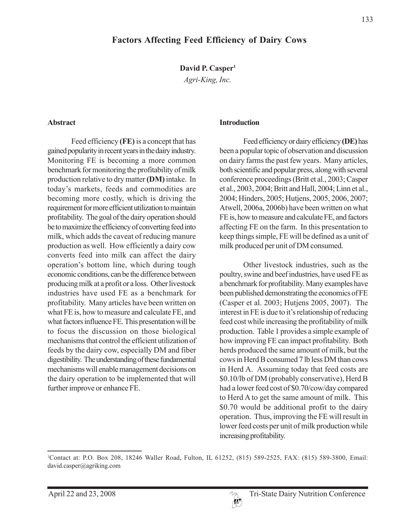David P. Casper<sup>1</sup>

*Agri-King, Inc.*

#### **Abstract**

Feed efficiency **(FE)** is a concept that has gained popularity in recent years in the dairy industry. Monitoring FE is becoming a more common benchmark for monitoring the profitability of milk production relative to dry matter **(DM)** intake. In today's markets, feeds and commodities are becoming more costly, which is driving the requirement for more efficient utilization to maintain profitability. The goal of the dairy operation should be to maximize the efficiency of converting feed into milk, which adds the caveat of reducing manure production as well. How efficiently a dairy cow converts feed into milk can affect the dairy operation's bottom line, which during tough economic conditions, can be the difference between producing milk at a profit or a loss. Other livestock industries have used FE as a benchmark for profitability. Many articles have been written on what FE is, how to measure and calculate FE, and what factors influence FE. This presentation will be to focus the discussion on those biological mechanisms that control the efficient utilization of feeds by the dairy cow, especially DM and fiber digestibility. The understanding of these fundamental mechanisms will enable management decisions on the dairy operation to be implemented that will further improve or enhance FE.

#### **Introduction**

Feed efficiency or dairy efficiency **(DE)** has been a popular topic of observation and discussion on dairy farms the past few years. Many articles, both scientific and popular press, along with several conference proceedings (Britt et al., 2003; Casper et al., 2003, 2004; Britt and Hall, 2004; Linn et al., 2004; Hinders, 2005; Hutjens, 2005, 2006, 2007; Atwell, 2006a, 2006b) have been written on what FE is, how to measure and calculate FE, and factors affecting FE on the farm. In this presentation to keep things simple, FE will be defined as a unit of milk produced per unit of DM consumed.

Other livestock industries, such as the poultry, swine and beef industries, have used FE as a benchmark for profitability. Many examples have been published demonstrating the economics of FE (Casper et al. 2003; Hutjens 2005, 2007). The interest in FE is due to it's relationship of reducing feed cost while increasing the profitability of milk production. Table 1 provides a simple example of how improving FE can impact profitability. Both herds produced the same amount of milk, but the cows in Herd B consumed 7 lb less DM than cows in Herd A. Assuming today that feed costs are \$0.10/lb of DM (probably conservative), Herd B had a lower feed cost of \$0.70/cow/day compared to Herd A to get the same amount of milk. This \$0.70 would be additional profit to the dairy operation. Thus, improving the FE will result in lower feed costs per unit of milk production while increasing profitability.

1 Contact at: P.O. Box 208, 18246 Waller Road, Fulton, IL 61252, (815) 589-2525, FAX: (815) 589-3800, Email: david.casper@agriking.com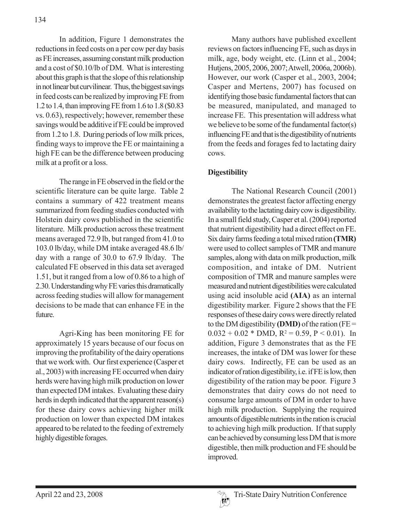In addition, Figure 1 demonstrates the reductions in feed costs on a per cow per day basis as FE increases, assuming constant milk production and a cost of \$0.10/lb of DM. What is interesting about this graph is that the slope of this relationship in not linear but curvilinear. Thus, the biggest savings in feed costs can be realized by improving FE from 1.2 to 1.4, than improving FE from 1.6 to 1.8 (\$0.83 vs. 0.63), respectively; however, remember these savings would be additive if FE could be improved from 1.2 to 1.8. During periods of low milk prices, finding ways to improve the FE or maintaining a high FE can be the difference between producing milk at a profit or a loss.

The range in FE observed in the field or the scientific literature can be quite large. Table 2 contains a summary of 422 treatment means summarized from feeding studies conducted with Holstein dairy cows published in the scientific literature. Milk production across these treatment means averaged 72.9 lb, but ranged from 41.0 to 103.0 lb/day, while DM intake averaged 48.6 lb/ day with a range of 30.0 to 67.9 lb/day. The calculated FE observed in this data set averaged 1.51, but it ranged from a low of 0.86 to a high of 2.30. Understanding why FE varies this dramatically across feeding studies will allow for management decisions to be made that can enhance FE in the future.

Agri-King has been monitoring FE for approximately 15 years because of our focus on improving the profitability of the dairy operations that we work with. Our first experience (Casper et al., 2003) with increasing FE occurred when dairy herds were having high milk production on lower than expected DM intakes. Evaluating these dairy herds in depth indicated that the apparent reason(s) for these dairy cows achieving higher milk production on lower than expected DM intakes appeared to be related to the feeding of extremely highly digestible forages.

Many authors have published excellent reviews on factors influencing FE, such as days in milk, age, body weight, etc. (Linn et al., 2004; Hutjens, 2005, 2006, 2007; Atwell, 2006a, 2006b). However, our work (Casper et al., 2003, 2004; Casper and Mertens, 2007) has focused on identifying those basic fundamental factors that can be measured, manipulated, and managed to increase FE. This presentation will address what we believe to be some of the fundamental factor(s) influencing FE and that is the digestibility of nutrients from the feeds and forages fed to lactating dairy cows.

# **Digestibility**

The National Research Council (2001) demonstrates the greatest factor affecting energy availability to the lactating dairy cow is digestibility. In a small field study, Casper et al. (2004) reported that nutrient digestibility had a direct effect on FE. Six dairy farms feeding a total mixed ration **(TMR)** were used to collect samples of TMR and manure samples, along with data on milk production, milk composition, and intake of DM. Nutrient composition of TMR and manure samples were measured and nutrient digestibilities were calculated using acid insoluble acid **(AIA)** as an internal digestibility marker. Figure 2 shows that the FE responses of these dairy cows were directly related to the DM digestibility **(DMD)** of the ration ( $FE =$  $0.032 + 0.02 *$  DMD,  $R^2 = 0.59$ ,  $P < 0.01$ ). In addition, Figure 3 demonstrates that as the FE increases, the intake of DM was lower for these dairy cows. Indirectly, FE can be used as an indicator of ration digestibility, i.e. if FE is low, then digestibility of the ration may be poor. Figure 3 demonstrates that dairy cows do not need to consume large amounts of DM in order to have high milk production. Supplying the required amounts of digestible nutrients in the ration is crucial to achieving high milk production. If that supply can be achieved by consuming less DM that is more digestible, then milk production and FE should be improved.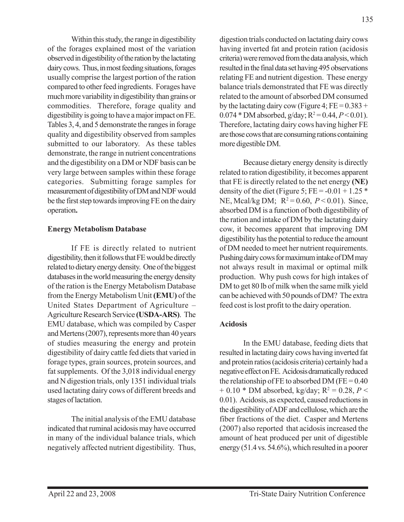Within this study, the range in digestibility of the forages explained most of the variation observed in digestibility of the ration by the lactating dairy cows. Thus, in most feeding situations, forages usually comprise the largest portion of the ration compared to other feed ingredients. Forages have much more variability in digestibility than grains or commodities. Therefore, forage quality and digestibility is going to have a major impact on FE. Tables 3, 4, and 5 demonstrate the ranges in forage quality and digestibility observed from samples submitted to our laboratory. As these tables demonstrate, the range in nutrient concentrations and the digestibility on a DM or NDF basis can be very large between samples within these forage categories. Submitting forage samples for measurement of digestibility of DMand NDF would be the first step towards improving FE on the dairy operation**.**

### **Energy Metabolism Database**

If FE is directly related to nutrient digestibility, then it follows that FE would be directly related to dietary energy density. One of the biggest databases in the world measuring the energy density of the ration is the Energy Metabolism Database from the Energy Metabolism Unit **(EMU)** of the United States Department of Agriculture – Agriculture Research Service **(USDA-ARS)**. The EMU database, which was compiled by Casper and Mertens (2007), represents more than 40 years of studies measuring the energy and protein digestibility of dairy cattle fed diets that varied in forage types, grain sources, protein sources, and fat supplements. Of the 3,018 individual energy and N digestion trials, only 1351 individual trials used lactating dairy cows of different breeds and stages of lactation.

The initial analysis of the EMU database indicated that ruminal acidosis may have occurred in many of the individual balance trials, which negatively affected nutrient digestibility. Thus,

digestion trials conducted on lactating dairy cows having inverted fat and protein ration (acidosis criteria) were removed from the data analysis, which resulted in the final data set having 495 observations relating FE and nutrient digestion. These energy balance trials demonstrated that FE was directly related to the amount of absorbed DM consumed by the lactating dairy cow (Figure 4;  $FE = 0.383 +$ 0.074  $*$  DM absorbed, g/day;  $R^2 = 0.44$ ,  $P < 0.01$ ). Therefore, lactating dairy cows having higher FE are those cows that are consuming rations containing more digestible DM.

Because dietary energy density is directly related to ration digestibility, it becomes apparent that FE is directly related to the net energy **(NE)** density of the diet (Figure 5; FE =  $-0.01 + 1.25$  \* NE, Mcal/kg DM;  $R^2 = 0.60$ ,  $P < 0.01$ ). Since, absorbed DM is a function of both digestibility of the ration and intake of DM by the lactating dairy cow, it becomes apparent that improving DM digestibility has the potential to reduce the amount of DM needed to meet her nutrient requirements. Pushing dairy cows for maximum intake of DM may not always result in maximal or optimal milk production. Why push cows for high intakes of DM to get 80 lb of milk when the same milk yield can be achieved with 50 pounds of DM? The extra feed cost is lost profit to the dairy operation.

## **Acidosis**

In the EMU database, feeding diets that resulted in lactating dairy cows having inverted fat and protein ratios (acidosis criteria) certainly had a negative effect on FE. Acidosis dramatically reduced the relationship of FE to absorbed DM (FE =  $0.40$ )  $+$  0.10  $*$  DM absorbed, kg/day; R<sup>2</sup> = 0.28, *P* < 0.01). Acidosis, as expected, caused reductions in the digestibility of ADF and cellulose, which are the fiber fractions of the diet. Casper and Mertens (2007) also reported that acidosis increased the amount of heat produced per unit of digestible energy (51.4 vs. 54.6%), which resulted in a poorer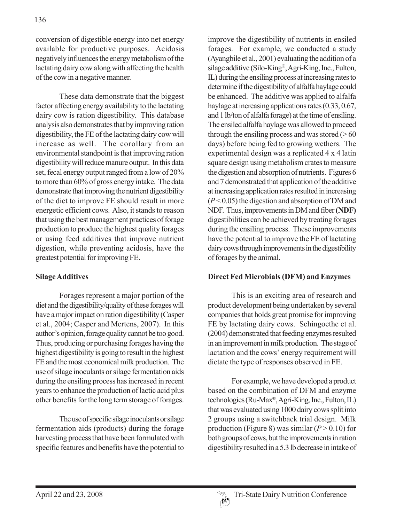conversion of digestible energy into net energy available for productive purposes. Acidosis negatively influences the energy metabolism of the lactating dairy cow along with affecting the health of the cow in a negative manner.

These data demonstrate that the biggest factor affecting energy availability to the lactating dairy cow is ration digestibility. This database analysis also demonstrates that by improving ration digestibility, the FE of the lactating dairy cow will increase as well. The corollary from an environmental standpoint is that improving ration digestibility will reduce manure output. In this data set, fecal energy output ranged from a low of 20% to more than 60% of gross energy intake. The data demonstrate that improving the nutrient digestibility of the diet to improve FE should result in more energetic efficient cows. Also, it stands to reason that using the best management practices of forage production to produce the highest quality forages or using feed additives that improve nutrient digestion, while preventing acidosis, have the greatest potential for improving FE.

## **Silage Additives**

Forages represent a major portion of the diet and the digestibility/quality of these forages will have a major impact on ration digestibility (Casper et al., 2004; Casper and Mertens, 2007). In this author's opinion, forage quality cannot be too good. Thus, producing or purchasing forages having the highest digestibility is going to result in the highest FE and the most economical milk production. The use of silage inoculants or silage fermentation aids during the ensiling process has increased in recent years to enhance the production of lactic acid plus other benefits for the long term storage of forages.

The use of specific silage inoculants or silage fermentation aids (products) during the forage harvesting process that have been formulated with specific features and benefits have the potential to improve the digestibility of nutrients in ensiled forages. For example, we conducted a study (Ayangbile et al., 2001) evaluating the addition of a silage additive (Silo-King®, Agri-King, Inc., Fulton, IL) during the ensiling process at increasing rates to determine if the digestibility of alfalfa haylage could be enhanced. The additive was applied to alfalfa haylage at increasing applications rates (0.33, 0.67, and 1 lb/ton of alfalfa forage) at the time of ensiling. The ensiled alfalfa haylage was allowed to proceed through the ensiling process and was stored  $(>60$ days) before being fed to growing wethers. The experimental design was a replicated 4 x 4 latin square design using metabolism crates to measure the digestion and absorption of nutrients. Figures 6 and 7 demonstrated that application of the additive at increasing application rates resulted in increasing (*P* < 0.05) the digestion and absorption of DM and NDF. Thus, improvements in DM and fiber **(NDF)** digestibilities can be achieved by treating forages during the ensiling process. These improvements have the potential to improve the FE of lactating dairy cows through improvements in the digestibility of forages by the animal.

## **Direct Fed Microbials (DFM) and Enzymes**

This is an exciting area of research and product development being undertaken by several companies that holds great promise for improving FE by lactating dairy cows. Schingoethe et al. (2004) demonstrated that feeding enzymes resulted in an improvement in milk production. The stage of lactation and the cows' energy requirement will dictate the type of responses observed in FE.

For example, we have developed a product based on the combination of DFM and enzyme technologies (Ru-Max®, Agri-King, Inc., Fulton, IL) that was evaluated using 1000 dairy cows split into 2 groups using a switchback trial design. Milk production (Figure 8) was similar  $(P > 0.10)$  for both groups of cows, but the improvements in ration digestibility resulted in a 5.3 lb decrease in intake of

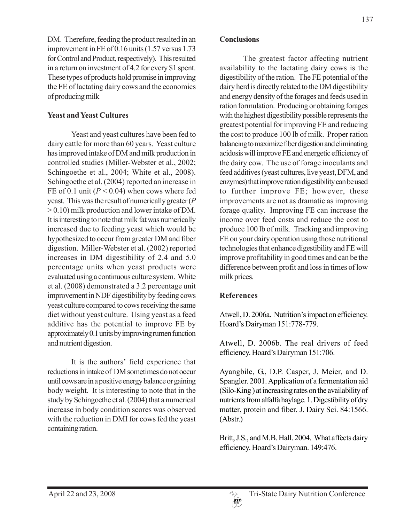DM. Therefore, feeding the product resulted in an improvement in FE of 0.16 units (1.57 versus 1.73 for Control and Product, respectively). This resulted in a return on investment of 4.2 for every \$1 spent. These types of products hold promise in improving the FE of lactating dairy cows and the economics of producing milk

## **Yeast and Yeast Cultures**

Yeast and yeast cultures have been fed to dairy cattle for more than 60 years. Yeast culture has improved intake of DM and milk production in controlled studies (Miller-Webster et al., 2002; Schingoethe et al., 2004; White et al., 2008). Schingoethe et al. (2004) reported an increase in FE of 0.1 unit  $(P < 0.04)$  when cows where fed yeast. This was the result of numerically greater (*P* > 0.10) milk production and lower intake of DM. It is interesting to note that milk fat was numerically increased due to feeding yeast which would be hypothesized to occur from greater DM and fiber digestion. Miller-Webster et al. (2002) reported increases in DM digestibility of 2.4 and 5.0 percentage units when yeast products were evaluated using a continuous culture system. White et al. (2008) demonstrated a 3.2 percentage unit improvement in NDF digestibility by feeding cows yeast culture compared to cows receiving the same diet without yeast culture. Using yeast as a feed additive has the potential to improve FE by approximately 0.1 units by improving rumen function and nutrient digestion.

It is the authors' field experience that reductions in intake of DM sometimes do not occur until cows are in a positive energy balance or gaining body weight. It is interesting to note that in the study by Schingoethe et al. (2004) that a numerical increase in body condition scores was observed with the reduction in DMI for cows fed the yeast containing ration.

### **Conclusions**

The greatest factor affecting nutrient availability to the lactating dairy cows is the digestibility of the ration. The FE potential of the dairy herd is directly related to the DM digestibility and energy density of the forages and feeds used in ration formulation. Producing or obtaining forages with the highest digestibility possible represents the greatest potential for improving FE and reducing the cost to produce 100 lb of milk. Proper ration balancing to maximize fiber digestion and eliminating acidosis will improve FE and energetic efficiency of the dairy cow. The use of forage inoculants and feed additives (yeast cultures, live yeast, DFM, and enzymes) that improve ration digestibility can be used to further improve FE; however, these improvements are not as dramatic as improving forage quality. Improving FE can increase the income over feed costs and reduce the cost to produce 100 lb of milk. Tracking and improving FE on your dairy operation using those nutritional technologies that enhance digestibility and FE will improve profitability in good times and can be the difference between profit and loss in times of low milk prices.

# **References**

Atwell, D. 2006a. Nutrition's impact on efficiency. Hoard's Dairyman 151:778-779.

Atwell, D. 2006b. The real drivers of feed efficiency. Hoard's Dairyman 151:706.

Ayangbile, G., D.P. Casper, J. Meier, and D. Spangler. 2001. Application of a fermentation aid (Silo-King ) at increasing rates on the availability of nutrients from alfalfa haylage. 1. Digestibility of dry matter, protein and fiber. J. Dairy Sci. 84:1566. (Abstr.)

Britt, J.S., and M.B. Hall. 2004. What affects dairy efficiency. Hoard's Dairyman. 149:476.

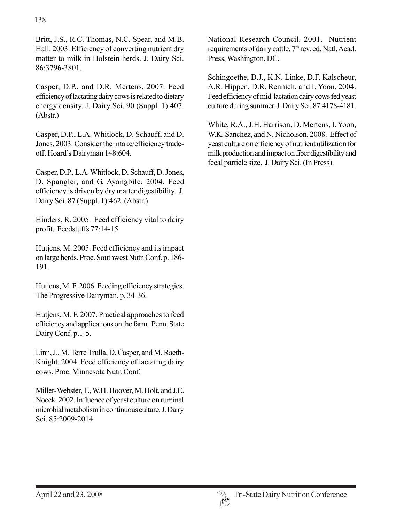Britt, J.S., R.C. Thomas, N.C. Spear, and M.B. Hall. 2003. Efficiency of converting nutrient dry matter to milk in Holstein herds. J. Dairy Sci. 86:3796-3801.

Casper, D.P., and D.R. Mertens. 2007. Feed efficiency of lactating dairy cows is related to dietary energy density. J. Dairy Sci. 90 (Suppl. 1):407. (Abstr.)

Casper, D.P., L.A. Whitlock, D. Schauff, and D. Jones. 2003. Consider the intake/efficiency tradeoff. Hoard's Dairyman 148:604.

Casper, D.P., L.A. Whitlock, D. Schauff, D. Jones, D. Spangler, and G. Ayangbile. 2004. Feed efficiency is driven by dry matter digestibility. J. Dairy Sci. 87 (Suppl. 1):462. (Abstr.)

Hinders, R. 2005. Feed efficiency vital to dairy profit. Feedstuffs 77:14-15.

Hutjens, M. 2005. Feed efficiency and its impact on large herds. Proc. Southwest Nutr. Conf. p. 186- 191.

Hutjens, M. F. 2006. Feeding efficiency strategies. The Progressive Dairyman. p. 34-36.

Hutjens, M. F. 2007. Practical approaches to feed efficiency and applications on the farm. Penn. State Dairy Conf. p.1-5.

Linn, J., M. Terre Trulla, D. Casper, and M. Raeth-Knight. 2004. Feed efficiency of lactating dairy cows. Proc. Minnesota Nutr. Conf.

Miller-Webster, T., W.H. Hoover, M. Holt, and J.E. Nocek. 2002. Influence of yeast culture on ruminal microbial metabolism in continuous culture. J. Dairy Sci. 85:2009-2014.

National Research Council. 2001. Nutrient requirements of dairy cattle. 7<sup>th</sup> rev. ed. Natl. Acad. Press, Washington, DC.

Schingoethe, D.J., K.N. Linke, D.F. Kalscheur, A.R. Hippen, D.R. Rennich, and I. Yoon. 2004. Feed efficiency of mid-lactation dairy cows fed yeast culture during summer. J. Dairy Sci. 87:4178-4181.

White, R.A., J.H. Harrison, D. Mertens, I. Yoon, W.K. Sanchez, and N. Nicholson. 2008. Effect of yeast culture on efficiency of nutrient utilization for milk production and impact on fiber digestibility and fecal particle size. J. Dairy Sci. (In Press).

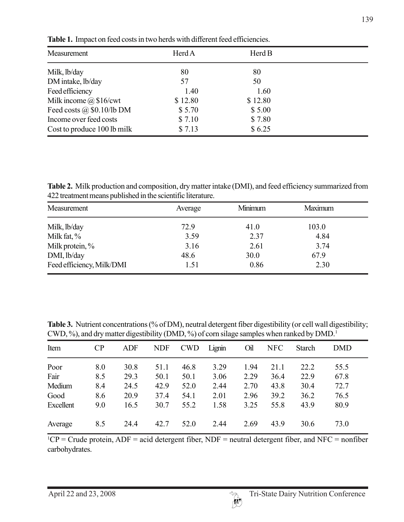| Measurement                      | Herd A  | Herd B  |  |
|----------------------------------|---------|---------|--|
| Milk, lb/day                     | 80      | 80      |  |
| DM intake, lb/day                | 57      | 50      |  |
| Feed efficiency                  | 1.40    | 1.60    |  |
| Milk income $\omega$ \$16/cwt    | \$12.80 | \$12.80 |  |
| Feed costs $\omega$ \$0.10/lb DM | \$5.70  | \$5.00  |  |
| Income over feed costs           | \$7.10  | \$7.80  |  |
| Cost to produce 100 lb milk      | \$7.13  | \$6.25  |  |

**Table 1.** Impact on feed costs in two herds with different feed efficiencies.

**Table 2.** Milk production and composition, dry matter intake (DMI), and feed efficiency summarized from 422 treatment means published in the scientific literature.

| Measurement               | Average | Minimum | Maximum |  |
|---------------------------|---------|---------|---------|--|
| Milk, lb/day              | 72.9    | 41.0    | 103.0   |  |
| Milk fat, %               | 3.59    | 2.37    | 4.84    |  |
| Milk protein, %           | 3.16    | 2.61    | 3.74    |  |
| DMI, lb/day               | 48.6    | 30.0    | 67.9    |  |
| Feed efficiency, Milk/DMI | 1.51    | 0.86    | 2.30    |  |

Table 3. Nutrient concentrations (% of DM), neutral detergent fiber digestibility (or cell wall digestibility; CWD, %), and dry matter digestibility (DMD, %) of corn silage samples when ranked by  $DMD<sup>1</sup>$ 

| Item      | CP  | <b>ADF</b> | <b>NDF</b> | <b>CWD</b> | Lignin | Oil  | <b>NFC</b> | <b>Starch</b> | <b>DMD</b> |
|-----------|-----|------------|------------|------------|--------|------|------------|---------------|------------|
| Poor      | 8.0 | 30.8       | 51.1       | 46.8       | 3.29   | 1.94 | 21.1       | 22.2          | 55.5       |
| Fair      | 8.5 | 29.3       | 50.1       | 50.1       | 3.06   | 2.29 | 36.4       | 22.9          | 67.8       |
| Medium    | 8.4 | 24.5       | 42.9       | 52.0       | 2.44   | 2.70 | 43.8       | 30.4          | 72.7       |
| Good      | 8.6 | 20.9       | 37.4       | 54.1       | 2.01   | 2.96 | 39.2       | 36.2          | 76.5       |
| Excellent | 9.0 | 16.5       | 30.7       | 55.2       | 1.58   | 3.25 | 55.8       | 43.9          | 80.9       |
| Average   | 8.5 | 24.4       | 42.7       | 52.0       | 2.44   | 2.69 | 43.9       | 30.6          | 73.0       |

 ${}^{1}CP$  = Crude protein, ADF = acid detergent fiber, NDF = neutral detergent fiber, and NFC = nonfiber carbohydrates.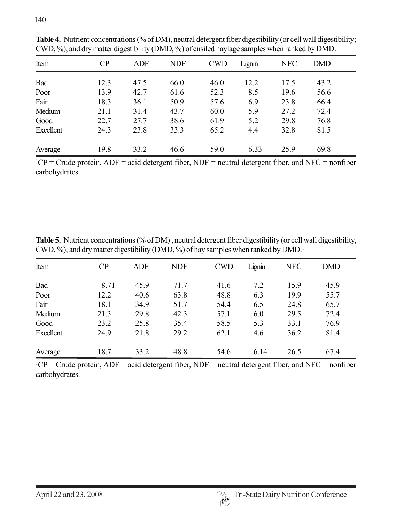| Item      | $\overline{CP}$ | <b>ADF</b> | <b>NDF</b> | <b>CWD</b> | Lignin | <b>NFC</b> | <b>DMD</b> |  |
|-----------|-----------------|------------|------------|------------|--------|------------|------------|--|
| Bad       | 12.3            | 47.5       | 66.0       | 46.0       | 12.2   | 17.5       | 43.2       |  |
| Poor      | 13.9            | 42.7       | 61.6       | 52.3       | 8.5    | 19.6       | 56.6       |  |
| Fair      | 18.3            | 36.1       | 50.9       | 57.6       | 6.9    | 23.8       | 66.4       |  |
| Medium    | 21.1            | 31.4       | 43.7       | 60.0       | 5.9    | 27.2       | 72.4       |  |
| Good      | 22.7            | 27.7       | 38.6       | 61.9       | 5.2    | 29.8       | 76.8       |  |
| Excellent | 24.3            | 23.8       | 33.3       | 65.2       | 4.4    | 32.8       | 81.5       |  |
| Average   | 19.8            | 33.2       | 46.6       | 59.0       | 6.33   | 25.9       | 69.8       |  |

Table 4. Nutrient concentrations (% of DM), neutral detergent fiber digestibility (or cell wall digestibility; CWD, %), and dry matter digestibility (DMD, %) of ensiled haylage samples when ranked by DMD.<sup>1</sup>

 ${}^{1}CP$  = Crude protein, ADF = acid detergent fiber, NDF = neutral detergent fiber, and NFC = nonfiber carbohydrates.

**Table 5.** Nutrient concentrations (% of DM) , neutral detergent fiber digestibility (or cell wall digestibility, CWD, %), and dry matter digestibility (DMD, %) of hay samples when ranked by DMD.<sup>1</sup>

| Item      | CP   | <b>ADF</b> | <b>NDF</b> | <b>CWD</b> | Lignin | <b>NFC</b> | <b>DMD</b> |
|-----------|------|------------|------------|------------|--------|------------|------------|
| Bad       | 8.71 | 45.9       | 71.7       | 41.6       | 7.2    | 15.9       | 45.9       |
| Poor      | 12.2 | 40.6       | 63.8       | 48.8       | 6.3    | 19.9       | 55.7       |
| Fair      | 18.1 | 34.9       | 51.7       | 54.4       | 6.5    | 24.8       | 65.7       |
| Medium    | 21.3 | 29.8       | 42.3       | 57.1       | 6.0    | 29.5       | 72.4       |
| Good      | 23.2 | 25.8       | 35.4       | 58.5       | 5.3    | 33.1       | 76.9       |
| Excellent | 24.9 | 21.8       | 29.2       | 62.1       | 4.6    | 36.2       | 81.4       |
| Average   | 18.7 | 33.2       | 48.8       | 54.6       | 6.14   | 26.5       | 67.4       |

 ${}^{1}CP$  = Crude protein, ADF = acid detergent fiber, NDF = neutral detergent fiber, and NFC = nonfiber carbohydrates.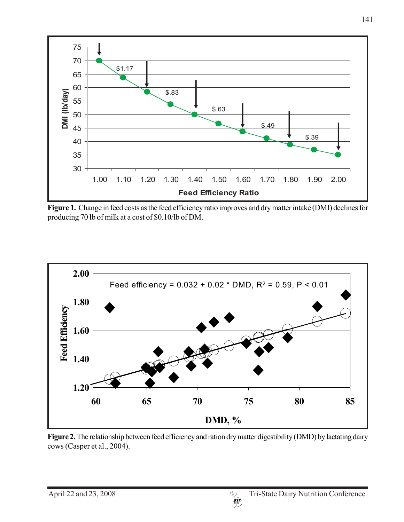

**Figure 1.** Change in feed costs as the feed efficiency ratio improves and dry matter intake (DMI) declines for producing 70 lb of milk at a cost of \$0.10/lb of DM.



Figure 2. The relationship between feed efficiency and ration dry matter digestibility (DMD) by lactating dairy cows (Casper et al., 2004).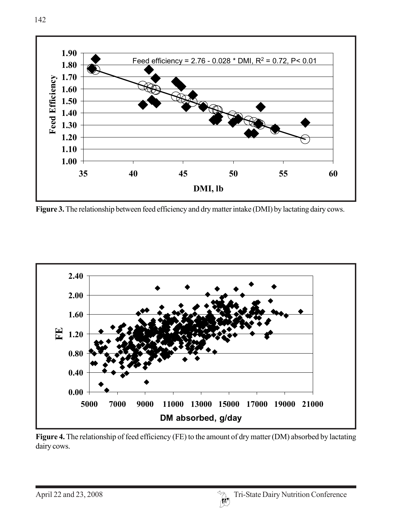

Figure 3. The relationship between feed efficiency and dry matter intake (DMI) by lactating dairy cows.



Figure 4. The relationship of feed efficiency (FE) to the amount of dry matter (DM) absorbed by lactating dairy cows.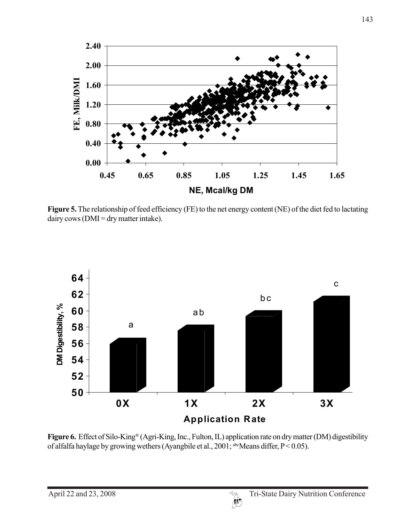

Figure 5. The relationship of feed efficiency (FE) to the net energy content (NE) of the diet fed to lactating  $dairy$  cows ( $DMI = dry$  matter intake).



**Figure 6.** Effect of Silo-King® (Agri-King, Inc., Fulton, IL) application rate on dry matter (DM) digestibility of alfalfa haylage by growing wethers (Ayangbile et al., 2001; abcMeans differ,  $P < 0.05$ ).